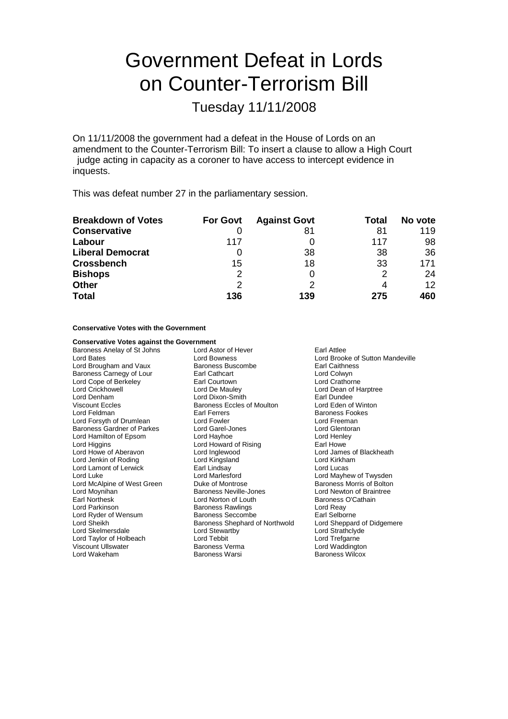# Government Defeat in Lords on Counter-Terrorism Bill

Tuesday 11/11/2008

On 11/11/2008 the government had a defeat in the House of Lords on an amendment to the Counter-Terrorism Bill: To insert a clause to allow a High Court judge acting in capacity as a coroner to have access to intercept evidence in inquests.

This was defeat number 27 in the parliamentary session.

| <b>Breakdown of Votes</b> | <b>For Govt</b> | <b>Against Govt</b> | Total | No vote |
|---------------------------|-----------------|---------------------|-------|---------|
| <b>Conservative</b>       |                 | 81                  | 81    | 119     |
| Labour                    | 117             |                     | 117   | 98      |
| <b>Liberal Democrat</b>   |                 | 38                  | 38    | -36     |
| <b>Crossbench</b>         | 15              | 18                  | 33    | 171     |
| <b>Bishops</b>            | 2               |                     | 2     | 24      |
| <b>Other</b>              | 2               | ႒                   |       | 12      |
| <b>Total</b>              | 136             | 139                 | 275   | 460     |

**Conservative Votes with the Government**

| <b>Conservative Votes against the Government</b> |                                                  |                            |
|--------------------------------------------------|--------------------------------------------------|----------------------------|
| Baroness Anelay of St Johns                      | Lord Astor of Hever<br>Earl Attlee               |                            |
| <b>Lord Bates</b>                                | Lord Brooke of Sutton Mandeville<br>Lord Bowness |                            |
| Lord Brougham and Vaux                           | <b>Baroness Buscombe</b>                         | <b>Earl Caithness</b>      |
| Baroness Carnegy of Lour                         | Earl Cathcart                                    | Lord Colwyn                |
| Lord Cope of Berkeley                            | Lord Crathorne<br>Earl Courtown                  |                            |
| Lord Crickhowell                                 | Lord De Mauley<br>Lord Dean of Harptree          |                            |
| Lord Denham                                      | Lord Dixon-Smith<br>Earl Dundee                  |                            |
| <b>Viscount Eccles</b>                           | <b>Baroness Eccles of Moulton</b>                | Lord Eden of Winton        |
| Lord Feldman                                     | Earl Ferrers                                     | <b>Baroness Fookes</b>     |
| Lord Forsyth of Drumlean                         | Lord Fowler                                      | Lord Freeman               |
| Baroness Gardner of Parkes                       | Lord Garel-Jones                                 | Lord Glentoran             |
| Lord Hamilton of Epsom                           | Lord Hayhoe                                      | Lord Henley                |
| Lord Higgins                                     | Lord Howard of Rising                            | Earl Howe                  |
| Lord Howe of Aberavon                            | Lord Inglewood                                   | Lord James of Blackheath   |
| Lord Jenkin of Roding                            | Lord Kingsland                                   | Lord Kirkham               |
| Lord Lamont of Lerwick                           | Earl Lindsay                                     | Lord Lucas                 |
| Lord Luke                                        | Lord Marlesford                                  | Lord Mayhew of Twysden     |
| Lord McAlpine of West Green                      | Duke of Montrose                                 | Baroness Morris of Bolton  |
| Lord Moynihan                                    | Baroness Neville-Jones                           | Lord Newton of Braintree   |
| <b>Earl Northesk</b>                             | Lord Norton of Louth                             | Baroness O'Cathain         |
| Lord Parkinson                                   | <b>Baroness Rawlings</b>                         | Lord Reay                  |
| Lord Ryder of Wensum                             | Baroness Seccombe                                | Earl Selborne              |
| Lord Sheikh                                      | Baroness Shephard of Northwold                   | Lord Sheppard of Didgemere |
| Lord Skelmersdale                                | Lord Stewartby                                   | Lord Strathclyde           |
| Lord Taylor of Holbeach                          | Lord Tebbit                                      | Lord Trefgarne             |
| Viscount Ullswater                               | Baroness Verma                                   | Lord Waddington            |
| Lord Wakeham                                     | Baroness Warsi                                   | <b>Baroness Wilcox</b>     |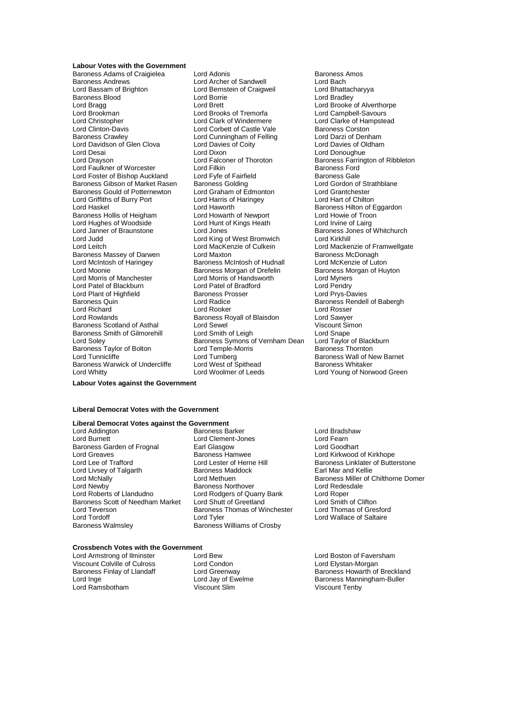#### **Labour Votes with the Government**

Baroness Adams of Craigielea Lord Adonis<br>
Lord Sandread Lord Archer of Sandwell<br>
Lord Bach<br>
Lord Bach Baroness Andrews The Lord Archer of Sandwell The Lord Bach<br>
Lord Bassam of Brighton Lord Bernstein of Craigweil Lord Bhattacharyya Baroness Blood **Exercise Secure Lord Borrie Contract Contract Contract Contract Contract Contract Contract Contract Contract Contract Contract Lord Brooke (Contract Contract Contract Contract Contract Contract Contract Con** Lord Bragg dentity and the Lord Brett Lord Brett Lord Brooke of Alverthorpe<br>
Lord Brookman Cord Brooks of Tremorfa Lord Campbell-Savours Lord Christopher Lord Clark of Windermere Lord Clinton-Davis **Lord Corbett of Castle Vale** Baroness Corston<br>
Baroness Crawley **Baroness** Crawley **Baroness** Crawley Lord Davidson of Glen Clova Lord Desai **Lord Dixon**<br>
Lord Desai Lord Donoughue<br>
Lord Desain Lord Falconer of Thoroton **Lord Desain Desain Desain Desain Lord Desain**<br>
Lord Desain Lord Desain Lord Desain Desain Lord Desain Lord Desain Lord Desain Lord Lord Faulkner of Worcester Lord Filkin Baroness Ford Lord Foster of Bishop Auckland Lord Fyfe of Fairfield Baroness Gale<br>
Baroness Gibson of Market Rasen Baroness Golding Lord Gordon of Strathblane Baroness Gibson of Market Rasen Baroness Golding **Lord Gordon of Strathbaness Gould of Potternewton** Lord Graham of Edmonton Lord Grantchester Baroness Gould of Potternewton Lord Graham of Edmonton Lord Grantchester<br>
Lord Griffiths of Burry Port Lord Harris of Haringey Lord Hart of Chilton Lord Griffiths of Burry Port Lord Harris of Lord Haskel Lord Haskel **Lord Haworth** Lord Haworth **Baroness Hilton of Eggardon**<br>
Baroness Hollis of Heigham Lord Howarth of Newport Lord Howie of Troon Baroness Hollis of Heigham Lord Howarth of Newport Lord Howie of Troon<br>
Lord Hughes of Woodside Lord Hunt of Kings Heath Lord Irvine of Lairg Lord Hughes of Woodside Lord Hunt c<br>Lord Janner of Braunstone Heath Lord Jones Lord Judd<br>
Lord Leitch **Lord King of West Bromwich**<br>
Lord MacKenzie of Culkein Baroness Massey of Darwen Lord Maxton Lord Maxton Baroness McDonagh<br>
Lord McIntosh of Haringey Baroness McIntosh of Hudnall Lord McKenzie of Luton Lord McIntosh of Haringey Lord Moonie **Baroness Morgan of Drefelin** Baroness Morgan of Huyton<br>
Lord Morris of Manchester **Baroness Morgan of Handsworth** Lord Myners Lord Patel of Blackburn Lord Patel of Bradford Lord Pendry<br>
Lord Plant of Highfield Baroness Prosser Lord Prys-Davies Lord Plant of Highfield Baroness Quin Lord Radice Baroness Rendell of Babergh Lord Richard **Communist Communist Lord Rooker** Lord Rosser<br>
Lord Rowlands **Communist Communist Communist Communist Communist Communist Communist Communist Communist Communist Communist Communist Communist Communist Communi** Baroness Scotland of Asthal Lord Sewel **Lord Sexual Sexual Struct Struct Struct Struct** Simoness Smith of Gilmorehill Lord Smape Baroness Smith of Gilmorehill Lord Smith of Leigh Lord Snape<br>Lord Solev Lord Solev Baroness Symons of Vernham Dean Lord Taylor of Blackburn Baroness Taylor of Bolton Lord Temple-Morris<br>
Lord Tunnicliffe Lord Turnberg<br>
Baroness Warwick of Undercliffe Lord West of Spithead Lord Turnicliffe and Turnberg Lord Turnberg baroness Wall of New Barnet<br>
Baroness Warwick of Undercliffe Lord West of Spithead Baroness Whitaker Baroness Warwick of Undercliffe Lord West of Spithead<br>Baroness Warwick of Undercliffe Lord Woolmer of Leeds

Lord Bernstein of Craigweil Lord Brooks of Tremorfa Lord Campbell-Savours<br>
Lord Clark of Windermere Lord Clarke of Hampstead Lord Cunningham of Felling Lord Darzi of Denham<br>
Lord Davies of Coity Lord Davies of Oldham Lord Falconer of Thoroton Baroness Farrington of Ribbleton<br>
Baroness Ford<br>
Baroness Ford Lord MacKenzie of Culkein Lord Mackenzie of Framwellgate<br>Lord Maxton Lord Mackenzie of Baroness McDonagh Lord Morris of Handsworth Lord Myners<br>
Lord Patel of Bradford Lord Pendry Exaroness Royall of Blaisdon **Lord Sawyer**<br>
Lord Sewel **Lord Sawyer**<br>
Lord Sewel Baroness Symons of Vernham Dean Lord Taylor of Black<br>Lord Temple-Morris Baroness Thornton

Baroness Jones of Whitchurch<br>Lord Kirkhill Lord Young of Norwood Green

#### **Labour Votes against the Government**

#### **Liberal Democrat Votes with the Government**

#### **Liberal Democrat Votes against the Government**

Baroness Garden of Frognal Lord Greaves<br>
Lord Greaves Baroness Hamwee Lord Exercise Research Lord Creaves<br>
Lord Lee of Trafford Lord Lester of Herne Hill Baroness Linklater of Butte Lord Livsey of Talgarth Lord Newby **Baroness Northover** Lord Redesdale<br>
Lord Roberts of Handudno **Baroness Northover** Cuarry Bank Lord Robert Baroness Scott of Needham Market Lord Shutt of Greetland Lord Smith of Clifton<br>Lord Teverson Baroness Thomas of Winchester Lord Thomas of Gresford Lord Teverson Baroness Thomas of Winchester<br>
Lord Tordoff Lord Tyler Lord Tordoff Lord Tyler Lord Tyler Lord Tordoff Lord Wallace of Saltaire<br>
Baroness Walmsley Baroness Williams of Crosby

Lord Addington **Contains Container Baroness Barker Container Container Adding Lord Bradshaw**<br>
Lord Burnett Container Lord Clement-Jones Lord Bradshaw Lord Clement-Jones<br>
Earl Glasgow 
Burnett Lord Goodhart Lord Rodgers of Quarry Bank Lord Roper<br>Lord Shutt of Greetland Lord Smith of Clifton Baroness Williams of Crosby

Lord Lester of Herne Hill Baroness Linklater of Butterstone<br>Baroness Maddock Baroness Linklater and Kellie Lord McNally **Lord Methuen Baroness Miller of Chilthorne Domer** Chilthorne Domer

## **Crossbench Votes with the Government**

Lord Armstrong of Ilminster Lord Bew Lord Boston of Faversham Baroness Finlay of Llandaff Lord Greenway<br>Lord Inge Lord Jay of Ewelme Lord Ramsbotham

Viscount Colville of Culross Lord Condon Lord Elystan-Morgan<br>Raroness Finlay of Llandaff Lord Greenway Lord Elystan Baroness Howarth of Breckland Lord Inge **Lord Jay of Ewelme** Baroness Manningham-Buller<br>
Lord Ramsbotham **Baroness Wanningham-Buller**<br>
Viscount Tenby